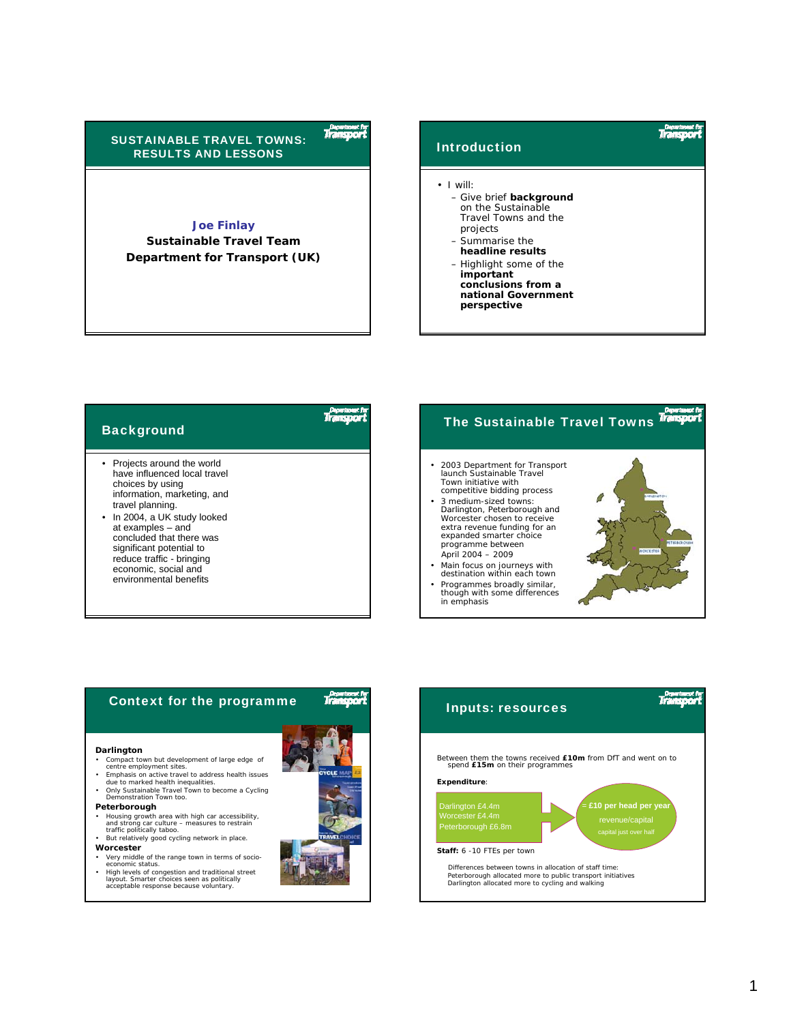

## **Joe Finlay**

**Sustainable Travel Team Department for Transport (UK)**



| <b>Background</b>                                                                                                                                                                                                                                                                                                              | The Sustainable Travel Towns Transport                                                                                                                                                                                                                                                                                                                                                                                                                                                                               |  |
|--------------------------------------------------------------------------------------------------------------------------------------------------------------------------------------------------------------------------------------------------------------------------------------------------------------------------------|----------------------------------------------------------------------------------------------------------------------------------------------------------------------------------------------------------------------------------------------------------------------------------------------------------------------------------------------------------------------------------------------------------------------------------------------------------------------------------------------------------------------|--|
| • Projects around the world<br>have influenced local travel<br>choices by using<br>information, marketing, and<br>travel planning.<br>• In 2004, a UK study looked<br>at examples - and<br>concluded that there was<br>significant potential to<br>reduce traffic - bringing<br>economic, social and<br>environmental benefits | 2003 Department for Transport<br>Jaunch Sustainable Travel<br>Town initiative with<br>competitive bidding process<br><b>DARLENSTON</b><br>3 medium-sized towns:<br>Darlington, Peterborough and<br>Worcester chosen to receive<br>extra revenue funding for an<br>expanded smarter choice<br><b>PETERBOROUMH</b><br>programme between<br>WORCESTER<br>April 2004 - 2009<br>Main focus on journeys with<br>destination within each town<br>Programmes broadly similar,<br>though with some differences<br>in emphasis |  |



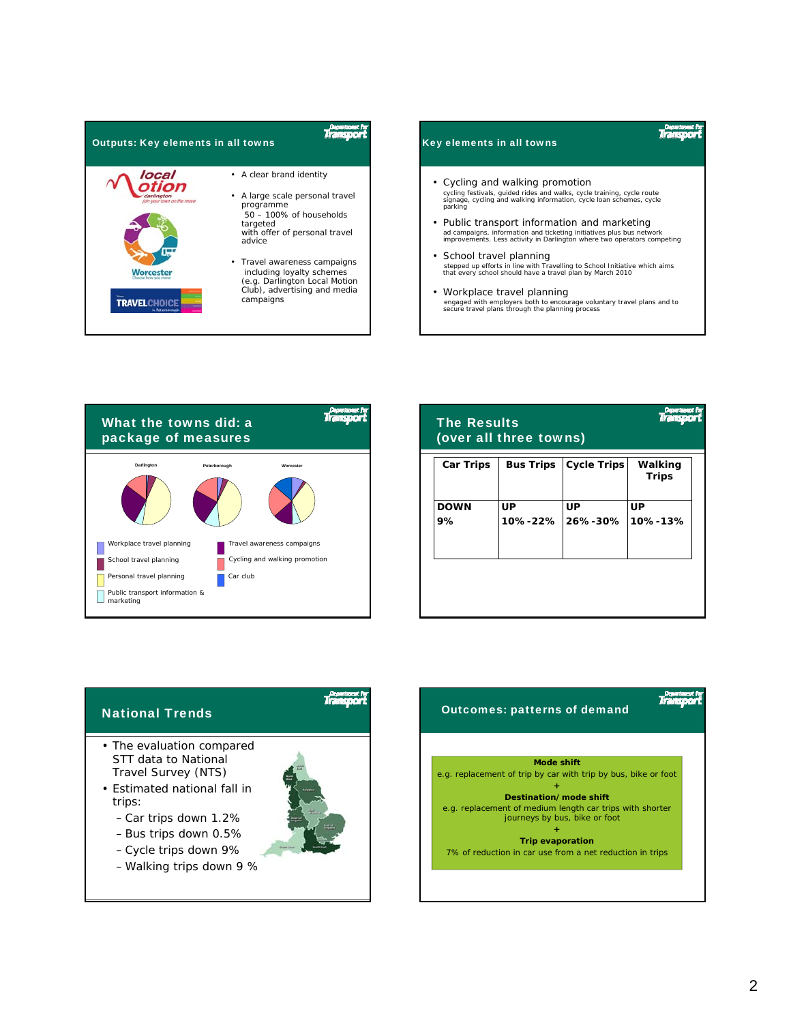





| <b>The Results</b><br>(over all three towns) |                  |                    |                         |  |
|----------------------------------------------|------------------|--------------------|-------------------------|--|
| <b>Car Trips</b>                             | <b>Bus Trips</b> | <b>Cycle Trips</b> | Walking<br><b>Trips</b> |  |
| <b>DOWN</b><br>9%                            | UP<br>10%-22%    | UP<br>26%-30%      | UP<br>10%-13%           |  |
|                                              |                  |                    |                         |  |



- Cycle trips down 9%
- Walking trips down 9 %